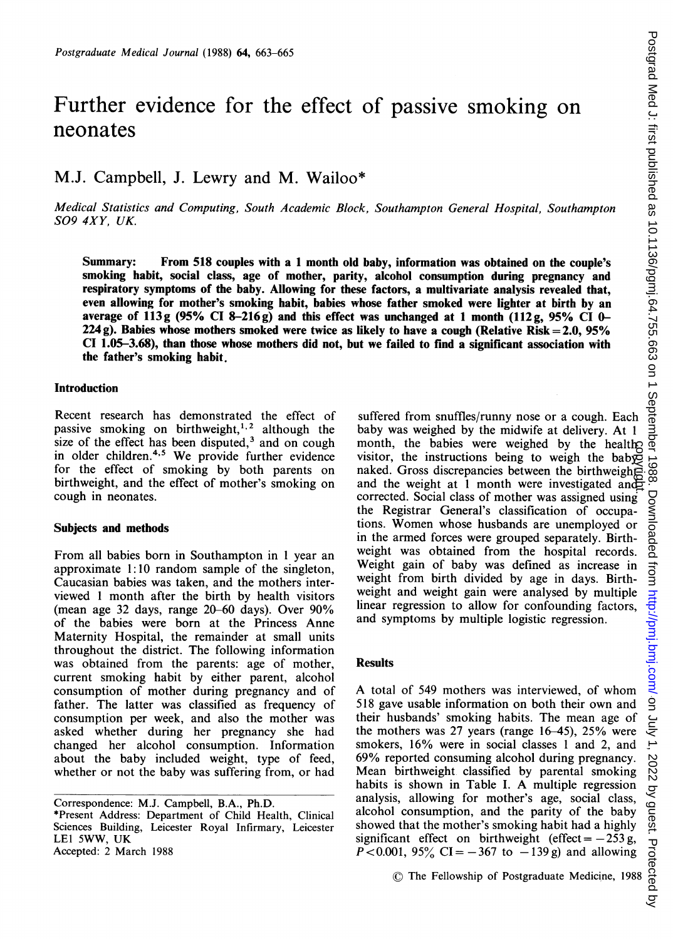# Further evidence for the effect of passive smoking on neonates

# M.J. Campbell, J. Lewry and M. Wailoo\*

Medical Statistics and Computing, South Academic Block, Southampton General Hospital, Southampton S09 4XY, UK.

Summary: From 518 couples with a <sup>1</sup> month old baby, information was obtained on the couple's smoking habit, social class, age of mother, parity, alcohol consumption during pregnancy and respiratory symptoms of the baby. Allowing for these factors, a multivariate analysis revealed that, even allowing for mother's smoking habit, babies whose father smoked were lighter at birth by an average of 113g (95% CI 8-216g) and this effect was unchanged at 1 month (112g, 95% CI 0-224 g). Babies whose mothers smoked were twice as likely to have a cough (Relative Risk  $= 2.0, 95\%$ CI 1.05-3.68), than those whose mothers did not, but we failed to find a significant association with the father's smoking habit.

## Introduction

Recent research has demonstrated the effect of passive smoking on birthweight,<sup>1,2</sup> although the size of the effect has been disputed, $3$  and on cough in older children.<sup>4,5</sup> We provide further evidence for the effect of smoking by both parents on birthweight, and the effect of mother's smoking on cough in neonates.

#### Subjects and methods

From all babies born in Southampton in <sup>1</sup> year an approximate 1:10 random sample of the singleton, Caucasian babies was taken, and the mothers interviewed <sup>1</sup> month after the birth by health visitors (mean age 32 days, range 20-60 days). Over 90% of the babies were born at the Princess Anne Maternity Hospital, the remainder at small units throughout the district. The following information was obtained from the parents: age of mother, current smoking habit by either parent, alcohol consumption of mother during pregnancy and of father. The latter was classified as frequency of consumption per week, and also the mother was asked whether during her pregnancy she had changed her alcohol consumption. Information about the baby included weight, type of feed, whether or not the baby was suffering from, or had

\*Present Address: Department of Child Health, Clinical Sciences Building, Leicester Royal Infirmary, Leicester LEI 5WW, UK Accepted: 2 March 1988

suffered from snuffles/runny nose or a cough. Each baby was weighed by the midwife at delivery. At <sup>1</sup> month, the babies were weighed by the health visitor, the instructions being to weigh the baby naked. Gross discrepancies between the birthweight and the weight at 1 month were investigated and corrected. Social class of mother was assigned using the Registrar General's classification of occupations. Women whose husbands are unemployed or in the armed forces were grouped separately. Birthweight was obtained from the hospital records. Weight gain of baby was defined as increase in weight from birth divided by age in days. Birthweight and weight gain were analysed by multiple linear regression to allow for confounding factors, and symptoms by multiple logistic regression. copyright.

### Results

A total of <sup>549</sup> mothers was interviewed, of whom 518 gave usable information on both their own and their husbands' smoking habits. The mean age of the mothers was 27 years (range 16-45), 25% were smokers, 16% were in social classes <sup>1</sup> and 2, and 69% reported consuming alcohol during pregnancy. Mean birthweight classified by parental smoking habits is shown in Table I. A multiple regression analysis, allowing for mother's age, social class, alcohol consumption, and the parity of the baby showed that the mother's smoking habit had a highly significant effect on birthweight (effect =  $-253$  g,  $P < 0.001$ , 95% CI = -367 to -139 g) and allowing

© The Fellowship of Postgraduate Medicine, <sup>1988</sup>

Correspondence: M.J. Campbell, B.A., Ph.D.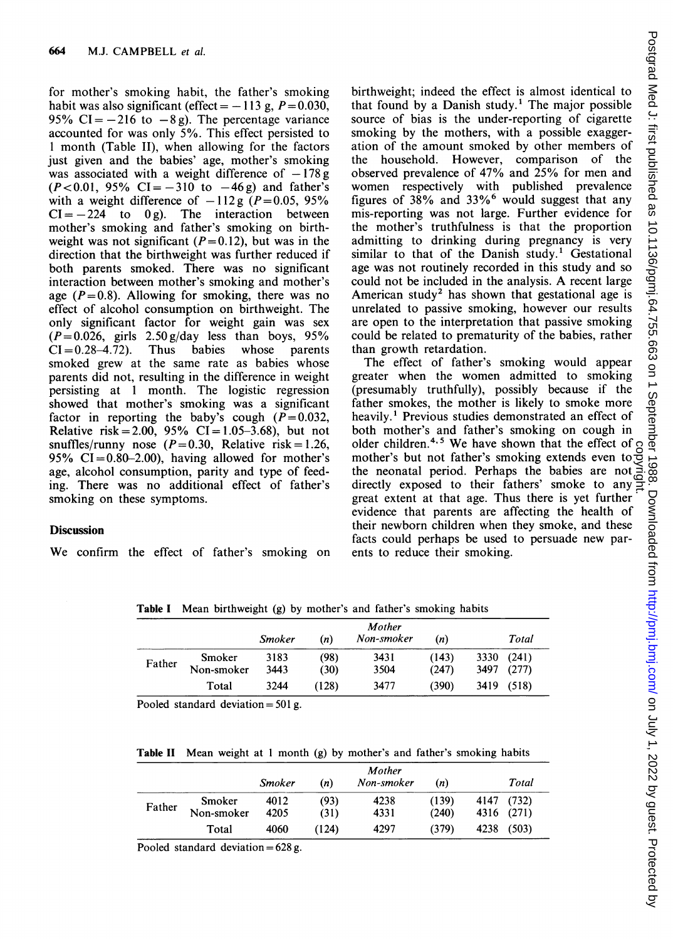for mother's smoking habit, the father's smoking habit was also significant (effect  $= -113$  g,  $P = 0.030$ , 95% CI =  $-216$  to  $-8$  g). The percentage variance accounted for was only 5%. This effect persisted to <sup>1</sup> month (Table II), when allowing for the factors just given and the babies' age, mother's smoking was associated with a weight difference of  $-178$  g  $(P<0.01, 95\% \text{ CI} = -310 \text{ to } -46 \text{ g}$  and father's with a weight difference of  $-112g$  ( $P=0.05$ , 95%)  $CI = -224$  to 0 g). The interaction between mother's smoking and father's smoking on birthweight was not significant  $(P=0.12)$ , but was in the direction that the birthweight was further reduced if both parents smoked. There was no significant interaction between mother's smoking and mother's age ( $P=0.8$ ). Allowing for smoking, there was no effect of alcohol consumption on birthweight. The only significant factor for weight gain was sex  $(P= 0.026,$  girls  $2.50$  g/day less than boys, 95%<br>CI=0.28-4.72). Thus babies whose parents  $CI = 0.28-4.72$ . Thus babies smoked grew at the same rate as babies whose parents did not, resulting in the difference in weight persisting at <sup>1</sup> month. The logistic regression showed that mother's smoking was a significant factor in reporting the baby's cough  $(P=0.032$ , Relative risk = 2.00, 95% CI = 1.05-3.68), but not snuffles/runny nose  $(P=0.30,$  Relative risk = 1.26, 95%  $CI = 0.80 - 2.00$ , having allowed for mother's age, alcohol consumption, parity and type of feeding. There was no additional effect of father's smoking on these symptoms.

# **Discussion**

We confirm the effect of father's smoking on

birthweight; indeed the effect is almost identical to that found by a Danish study.<sup>1</sup> The major possible source of bias is the under-reporting of cigarette smoking by the mothers, with a possible exaggeration of the amount smoked by other members of the household. However, comparison of the observed prevalence of 47% and 25% for men and women respectively with published prevalence figures of 38% and 33%6 would suggest that any mis-reporting was not large. Further evidence for the mother's truthfulness is that the proportion admitting to drinking during pregnancy is very similar to that of the Danish study.<sup>1</sup> Gestational age was not routinely recorded in this study and so could not be included in the analysis. A recent large American study<sup>2</sup> has shown that gestational age is unrelated to passive smoking, however our results are open to the interpretation that passive smoking could be related to prematurity of the babies, rather than growth retardation.

The effect of father's smoking would appear greater when the women admitted to smoking (presumably truthfully), possibly because if the father smokes, the mother is likely to smoke more heavily.' Previous studies demonstrated an effect of both mother's and father's smoking on cough in older children.<sup>4,5</sup> We have shown that the effect of  $\beta$ mother's but not father's smoking extends even to the neonatal period. Perhaps the babies are not directly exposed to their fathers' smoke to any great extent at that age. Thus there is yet further evidence that parents are affecting the health of their newborn children when they smoke, and these facts could perhaps be used to persuade new parents to reduce their smoking. copyright.

Table <sup>I</sup> Mean birthweight (g) by mother's and father's smoking habits

|        |            | Smoker | (n)   | Mother<br>Non-smoker | (n)   | Total         |
|--------|------------|--------|-------|----------------------|-------|---------------|
| Father | Smoker     | 3183   | (98)  | 3431                 | (143) | (241)<br>3330 |
|        | Non-smoker | 3443   | (30)  | 3504                 | (247) | (277)<br>3497 |
|        | Total      | 3244   | (128) | 3477                 | (390) | 3419<br>(518) |

Pooled standard deviation =  $501$  g.

Table II Mean weight at <sup>1</sup> month (g) by mother's and father's smoking habits

|        |                      | Smoker       | (n)          | Mother<br>Non-smoker | (n)            | Total                    |
|--------|----------------------|--------------|--------------|----------------------|----------------|--------------------------|
| Father | Smoker<br>Non-smoker | 4012<br>4205 | (93)<br>(31) | 4238<br>4331         | (139)<br>(240) | 4147 (732)<br>4316 (271) |
|        | Total                | 4060         | (124)        | 4297                 | (379)          | (503)<br>4238            |

Pooled standard deviation =  $628 g$ .